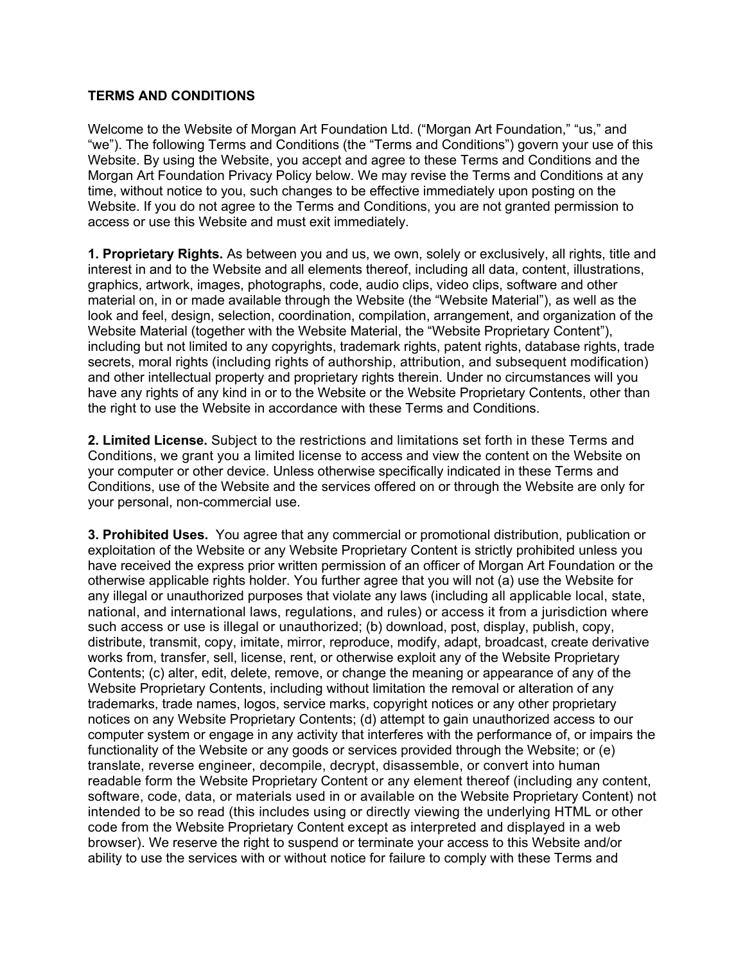## **TERMS AND CONDITIONS**

Welcome to the Website of Morgan Art Foundation Ltd. ("Morgan Art Foundation," "us," and "we"). The following Terms and Conditions (the "Terms and Conditions") govern your use of this Website. By using the Website, you accept and agree to these Terms and Conditions and the Morgan Art Foundation Privacy Policy below. We may revise the Terms and Conditions at any time, without notice to you, such changes to be effective immediately upon posting on the Website. If you do not agree to the Terms and Conditions, you are not granted permission to access or use this Website and must exit immediately.

**1. Proprietary Rights.** As between you and us, we own, solely or exclusively, all rights, title and interest in and to the Website and all elements thereof, including all data, content, illustrations, graphics, artwork, images, photographs, code, audio clips, video clips, software and other material on, in or made available through the Website (the "Website Material"), as well as the look and feel, design, selection, coordination, compilation, arrangement, and organization of the Website Material (together with the Website Material, the "Website Proprietary Content"), including but not limited to any copyrights, trademark rights, patent rights, database rights, trade secrets, moral rights (including rights of authorship, attribution, and subsequent modification) and other intellectual property and proprietary rights therein. Under no circumstances will you have any rights of any kind in or to the Website or the Website Proprietary Contents, other than the right to use the Website in accordance with these Terms and Conditions.

**2. Limited License.** Subject to the restrictions and limitations set forth in these Terms and Conditions, we grant you a limited license to access and view the content on the Website on your computer or other device. Unless otherwise specifically indicated in these Terms and Conditions, use of the Website and the services offered on or through the Website are only for your personal, non-commercial use.

**3. Prohibited Uses.** You agree that any commercial or promotional distribution, publication or exploitation of the Website or any Website Proprietary Content is strictly prohibited unless you have received the express prior written permission of an officer of Morgan Art Foundation or the otherwise applicable rights holder. You further agree that you will not (a) use the Website for any illegal or unauthorized purposes that violate any laws (including all applicable local, state, national, and international laws, regulations, and rules) or access it from a jurisdiction where such access or use is illegal or unauthorized; (b) download, post, display, publish, copy, distribute, transmit, copy, imitate, mirror, reproduce, modify, adapt, broadcast, create derivative works from, transfer, sell, license, rent, or otherwise exploit any of the Website Proprietary Contents; (c) alter, edit, delete, remove, or change the meaning or appearance of any of the Website Proprietary Contents, including without limitation the removal or alteration of any trademarks, trade names, logos, service marks, copyright notices or any other proprietary notices on any Website Proprietary Contents; (d) attempt to gain unauthorized access to our computer system or engage in any activity that interferes with the performance of, or impairs the functionality of the Website or any goods or services provided through the Website; or (e) translate, reverse engineer, decompile, decrypt, disassemble, or convert into human readable form the Website Proprietary Content or any element thereof (including any content, software, code, data, or materials used in or available on the Website Proprietary Content) not intended to be so read (this includes using or directly viewing the underlying HTML or other code from the Website Proprietary Content except as interpreted and displayed in a web browser). We reserve the right to suspend or terminate your access to this Website and/or ability to use the services with or without notice for failure to comply with these Terms and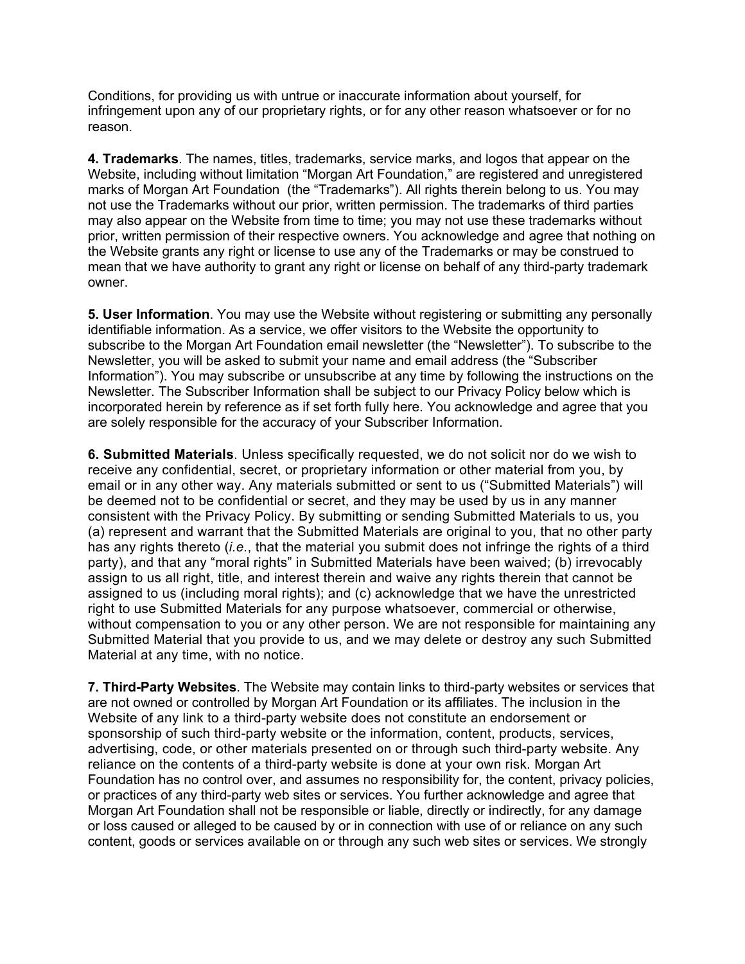Conditions, for providing us with untrue or inaccurate information about yourself, for infringement upon any of our proprietary rights, or for any other reason whatsoever or for no reason.

**4. Trademarks**. The names, titles, trademarks, service marks, and logos that appear on the Website, including without limitation "Morgan Art Foundation," are registered and unregistered marks of Morgan Art Foundation (the "Trademarks"). All rights therein belong to us. You may not use the Trademarks without our prior, written permission. The trademarks of third parties may also appear on the Website from time to time; you may not use these trademarks without prior, written permission of their respective owners. You acknowledge and agree that nothing on the Website grants any right or license to use any of the Trademarks or may be construed to mean that we have authority to grant any right or license on behalf of any third-party trademark owner.

**5. User Information**. You may use the Website without registering or submitting any personally identifiable information. As a service, we offer visitors to the Website the opportunity to subscribe to the Morgan Art Foundation email newsletter (the "Newsletter"). To subscribe to the Newsletter, you will be asked to submit your name and email address (the "Subscriber Information"). You may subscribe or unsubscribe at any time by following the instructions on the Newsletter. The Subscriber Information shall be subject to our Privacy Policy below which is incorporated herein by reference as if set forth fully here. You acknowledge and agree that you are solely responsible for the accuracy of your Subscriber Information.

**6. Submitted Materials**. Unless specifically requested, we do not solicit nor do we wish to receive any confidential, secret, or proprietary information or other material from you, by email or in any other way. Any materials submitted or sent to us ("Submitted Materials") will be deemed not to be confidential or secret, and they may be used by us in any manner consistent with the Privacy Policy. By submitting or sending Submitted Materials to us, you (a) represent and warrant that the Submitted Materials are original to you, that no other party has any rights thereto (*i.e.*, that the material you submit does not infringe the rights of a third party), and that any "moral rights" in Submitted Materials have been waived; (b) irrevocably assign to us all right, title, and interest therein and waive any rights therein that cannot be assigned to us (including moral rights); and (c) acknowledge that we have the unrestricted right to use Submitted Materials for any purpose whatsoever, commercial or otherwise, without compensation to you or any other person. We are not responsible for maintaining any Submitted Material that you provide to us, and we may delete or destroy any such Submitted Material at any time, with no notice.

**7. Third-Party Websites**. The Website may contain links to third-party websites or services that are not owned or controlled by Morgan Art Foundation or its affiliates. The inclusion in the Website of any link to a third-party website does not constitute an endorsement or sponsorship of such third-party website or the information, content, products, services, advertising, code, or other materials presented on or through such third-party website. Any reliance on the contents of a third-party website is done at your own risk. Morgan Art Foundation has no control over, and assumes no responsibility for, the content, privacy policies, or practices of any third-party web sites or services. You further acknowledge and agree that Morgan Art Foundation shall not be responsible or liable, directly or indirectly, for any damage or loss caused or alleged to be caused by or in connection with use of or reliance on any such content, goods or services available on or through any such web sites or services. We strongly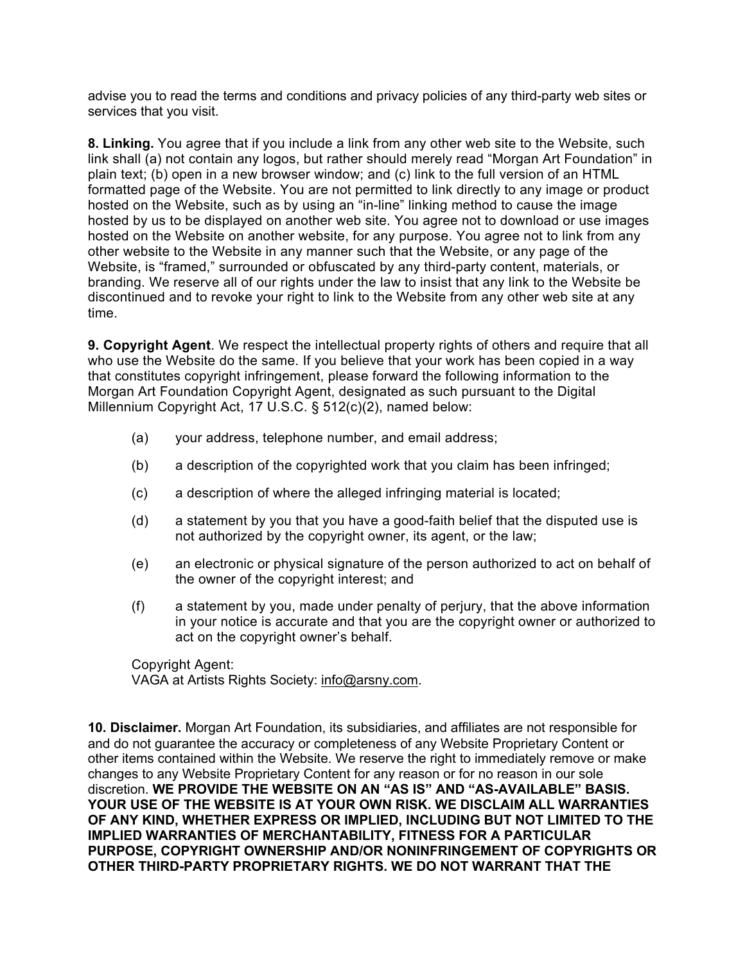advise you to read the terms and conditions and privacy policies of any third-party web sites or services that you visit.

**8. Linking.** You agree that if you include a link from any other web site to the Website, such link shall (a) not contain any logos, but rather should merely read "Morgan Art Foundation" in plain text; (b) open in a new browser window; and (c) link to the full version of an HTML formatted page of the Website. You are not permitted to link directly to any image or product hosted on the Website, such as by using an "in-line" linking method to cause the image hosted by us to be displayed on another web site. You agree not to download or use images hosted on the Website on another website, for any purpose. You agree not to link from any other website to the Website in any manner such that the Website, or any page of the Website, is "framed," surrounded or obfuscated by any third-party content, materials, or branding. We reserve all of our rights under the law to insist that any link to the Website be discontinued and to revoke your right to link to the Website from any other web site at any time.

**9. Copyright Agent**. We respect the intellectual property rights of others and require that all who use the Website do the same. If you believe that your work has been copied in a way that constitutes copyright infringement, please forward the following information to the Morgan Art Foundation Copyright Agent, designated as such pursuant to the Digital Millennium Copyright Act, 17 U.S.C. § 512(c)(2), named below:

- (a) your address, telephone number, and email address;
- (b) a description of the copyrighted work that you claim has been infringed;
- (c) a description of where the alleged infringing material is located;
- (d) a statement by you that you have a good-faith belief that the disputed use is not authorized by the copyright owner, its agent, or the law;
- (e) an electronic or physical signature of the person authorized to act on behalf of the owner of the copyright interest; and
- (f) a statement by you, made under penalty of perjury, that the above information in your notice is accurate and that you are the copyright owner or authorized to act on the copyright owner's behalf.

Copyright Agent: VAGA at Artists Rights Society: info@arsny.com.

**10. Disclaimer.** Morgan Art Foundation, its subsidiaries, and affiliates are not responsible for and do not guarantee the accuracy or completeness of any Website Proprietary Content or other items contained within the Website. We reserve the right to immediately remove or make changes to any Website Proprietary Content for any reason or for no reason in our sole discretion. **WE PROVIDE THE WEBSITE ON AN "AS IS" AND "AS-AVAILABLE" BASIS. YOUR USE OF THE WEBSITE IS AT YOUR OWN RISK. WE DISCLAIM ALL WARRANTIES OF ANY KIND, WHETHER EXPRESS OR IMPLIED, INCLUDING BUT NOT LIMITED TO THE IMPLIED WARRANTIES OF MERCHANTABILITY, FITNESS FOR A PARTICULAR PURPOSE, COPYRIGHT OWNERSHIP AND/OR NONINFRINGEMENT OF COPYRIGHTS OR OTHER THIRD-PARTY PROPRIETARY RIGHTS. WE DO NOT WARRANT THAT THE**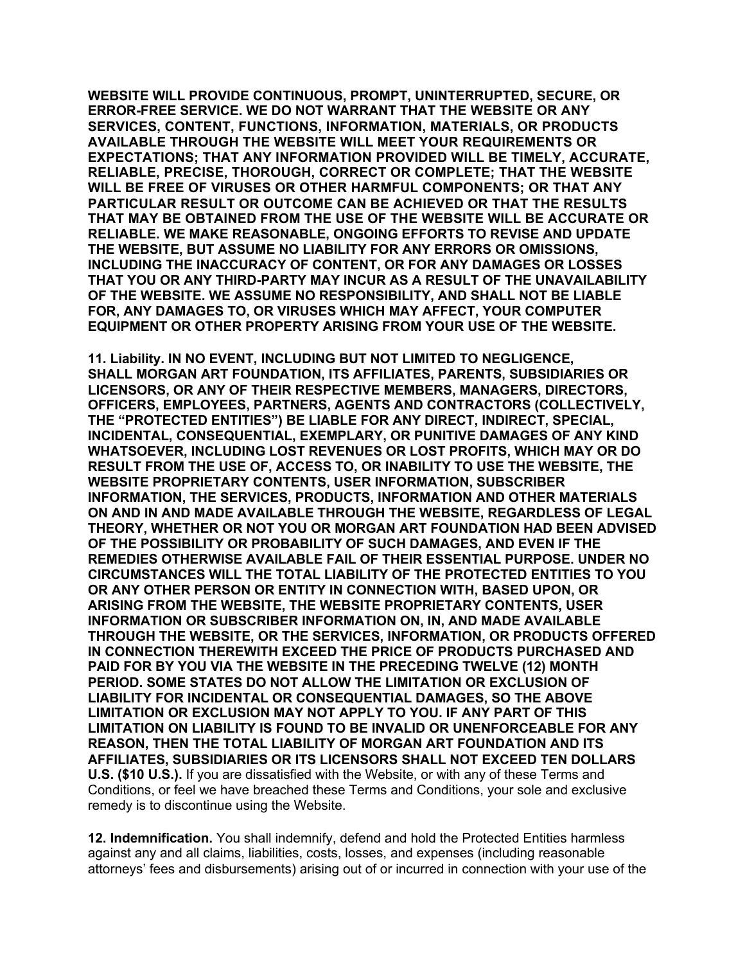**WEBSITE WILL PROVIDE CONTINUOUS, PROMPT, UNINTERRUPTED, SECURE, OR ERROR-FREE SERVICE. WE DO NOT WARRANT THAT THE WEBSITE OR ANY SERVICES, CONTENT, FUNCTIONS, INFORMATION, MATERIALS, OR PRODUCTS AVAILABLE THROUGH THE WEBSITE WILL MEET YOUR REQUIREMENTS OR EXPECTATIONS; THAT ANY INFORMATION PROVIDED WILL BE TIMELY, ACCURATE, RELIABLE, PRECISE, THOROUGH, CORRECT OR COMPLETE; THAT THE WEBSITE WILL BE FREE OF VIRUSES OR OTHER HARMFUL COMPONENTS; OR THAT ANY PARTICULAR RESULT OR OUTCOME CAN BE ACHIEVED OR THAT THE RESULTS THAT MAY BE OBTAINED FROM THE USE OF THE WEBSITE WILL BE ACCURATE OR RELIABLE. WE MAKE REASONABLE, ONGOING EFFORTS TO REVISE AND UPDATE THE WEBSITE, BUT ASSUME NO LIABILITY FOR ANY ERRORS OR OMISSIONS, INCLUDING THE INACCURACY OF CONTENT, OR FOR ANY DAMAGES OR LOSSES THAT YOU OR ANY THIRD-PARTY MAY INCUR AS A RESULT OF THE UNAVAILABILITY OF THE WEBSITE. WE ASSUME NO RESPONSIBILITY, AND SHALL NOT BE LIABLE FOR, ANY DAMAGES TO, OR VIRUSES WHICH MAY AFFECT, YOUR COMPUTER EQUIPMENT OR OTHER PROPERTY ARISING FROM YOUR USE OF THE WEBSITE.**

**11. Liability. IN NO EVENT, INCLUDING BUT NOT LIMITED TO NEGLIGENCE, SHALL MORGAN ART FOUNDATION, ITS AFFILIATES, PARENTS, SUBSIDIARIES OR LICENSORS, OR ANY OF THEIR RESPECTIVE MEMBERS, MANAGERS, DIRECTORS, OFFICERS, EMPLOYEES, PARTNERS, AGENTS AND CONTRACTORS (COLLECTIVELY, THE "PROTECTED ENTITIES") BE LIABLE FOR ANY DIRECT, INDIRECT, SPECIAL, INCIDENTAL, CONSEQUENTIAL, EXEMPLARY, OR PUNITIVE DAMAGES OF ANY KIND WHATSOEVER, INCLUDING LOST REVENUES OR LOST PROFITS, WHICH MAY OR DO RESULT FROM THE USE OF, ACCESS TO, OR INABILITY TO USE THE WEBSITE, THE WEBSITE PROPRIETARY CONTENTS, USER INFORMATION, SUBSCRIBER INFORMATION, THE SERVICES, PRODUCTS, INFORMATION AND OTHER MATERIALS ON AND IN AND MADE AVAILABLE THROUGH THE WEBSITE, REGARDLESS OF LEGAL THEORY, WHETHER OR NOT YOU OR MORGAN ART FOUNDATION HAD BEEN ADVISED OF THE POSSIBILITY OR PROBABILITY OF SUCH DAMAGES, AND EVEN IF THE REMEDIES OTHERWISE AVAILABLE FAIL OF THEIR ESSENTIAL PURPOSE. UNDER NO CIRCUMSTANCES WILL THE TOTAL LIABILITY OF THE PROTECTED ENTITIES TO YOU OR ANY OTHER PERSON OR ENTITY IN CONNECTION WITH, BASED UPON, OR ARISING FROM THE WEBSITE, THE WEBSITE PROPRIETARY CONTENTS, USER INFORMATION OR SUBSCRIBER INFORMATION ON, IN, AND MADE AVAILABLE THROUGH THE WEBSITE, OR THE SERVICES, INFORMATION, OR PRODUCTS OFFERED IN CONNECTION THEREWITH EXCEED THE PRICE OF PRODUCTS PURCHASED AND PAID FOR BY YOU VIA THE WEBSITE IN THE PRECEDING TWELVE (12) MONTH PERIOD. SOME STATES DO NOT ALLOW THE LIMITATION OR EXCLUSION OF LIABILITY FOR INCIDENTAL OR CONSEQUENTIAL DAMAGES, SO THE ABOVE LIMITATION OR EXCLUSION MAY NOT APPLY TO YOU. IF ANY PART OF THIS LIMITATION ON LIABILITY IS FOUND TO BE INVALID OR UNENFORCEABLE FOR ANY REASON, THEN THE TOTAL LIABILITY OF MORGAN ART FOUNDATION AND ITS AFFILIATES, SUBSIDIARIES OR ITS LICENSORS SHALL NOT EXCEED TEN DOLLARS U.S. (\$10 U.S.).** If you are dissatisfied with the Website, or with any of these Terms and Conditions, or feel we have breached these Terms and Conditions, your sole and exclusive remedy is to discontinue using the Website.

**12. Indemnification.** You shall indemnify, defend and hold the Protected Entities harmless against any and all claims, liabilities, costs, losses, and expenses (including reasonable attorneys' fees and disbursements) arising out of or incurred in connection with your use of the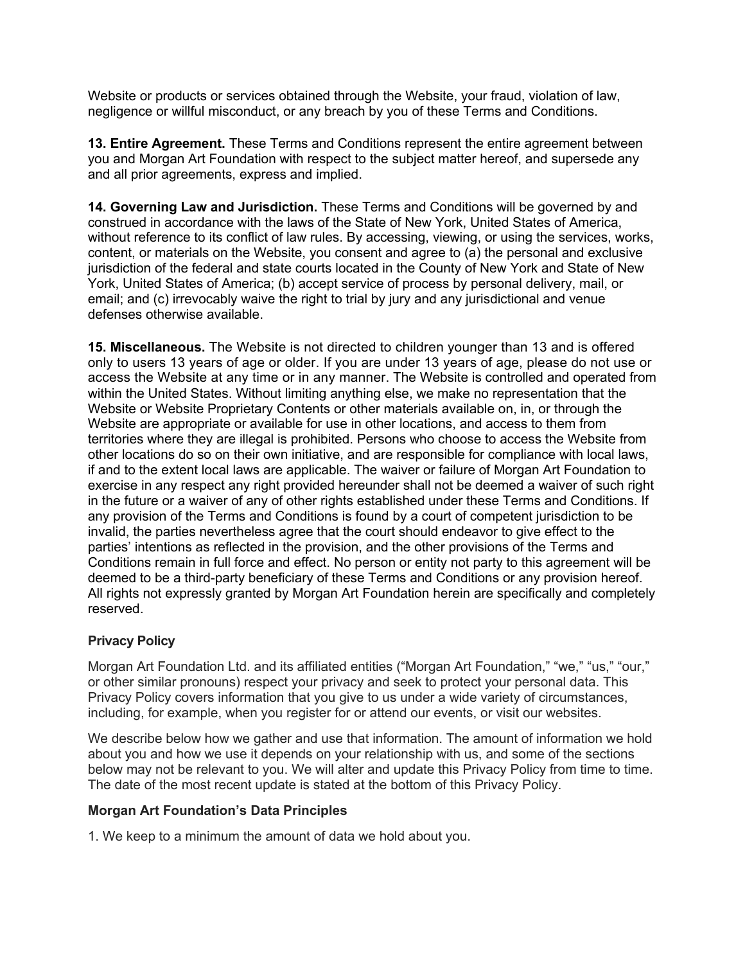Website or products or services obtained through the Website, your fraud, violation of law, negligence or willful misconduct, or any breach by you of these Terms and Conditions.

**13. Entire Agreement.** These Terms and Conditions represent the entire agreement between you and Morgan Art Foundation with respect to the subject matter hereof, and supersede any and all prior agreements, express and implied.

**14. Governing Law and Jurisdiction.** These Terms and Conditions will be governed by and construed in accordance with the laws of the State of New York, United States of America, without reference to its conflict of law rules. By accessing, viewing, or using the services, works, content, or materials on the Website, you consent and agree to (a) the personal and exclusive jurisdiction of the federal and state courts located in the County of New York and State of New York, United States of America; (b) accept service of process by personal delivery, mail, or email; and (c) irrevocably waive the right to trial by jury and any jurisdictional and venue defenses otherwise available.

**15. Miscellaneous.** The Website is not directed to children younger than 13 and is offered only to users 13 years of age or older. If you are under 13 years of age, please do not use or access the Website at any time or in any manner. The Website is controlled and operated from within the United States. Without limiting anything else, we make no representation that the Website or Website Proprietary Contents or other materials available on, in, or through the Website are appropriate or available for use in other locations, and access to them from territories where they are illegal is prohibited. Persons who choose to access the Website from other locations do so on their own initiative, and are responsible for compliance with local laws, if and to the extent local laws are applicable. The waiver or failure of Morgan Art Foundation to exercise in any respect any right provided hereunder shall not be deemed a waiver of such right in the future or a waiver of any of other rights established under these Terms and Conditions. If any provision of the Terms and Conditions is found by a court of competent jurisdiction to be invalid, the parties nevertheless agree that the court should endeavor to give effect to the parties' intentions as reflected in the provision, and the other provisions of the Terms and Conditions remain in full force and effect. No person or entity not party to this agreement will be deemed to be a third-party beneficiary of these Terms and Conditions or any provision hereof. All rights not expressly granted by Morgan Art Foundation herein are specifically and completely reserved.

## **Privacy Policy**

Morgan Art Foundation Ltd. and its affiliated entities ("Morgan Art Foundation," "we," "us," "our," or other similar pronouns) respect your privacy and seek to protect your personal data. This Privacy Policy covers information that you give to us under a wide variety of circumstances, including, for example, when you register for or attend our events, or visit our websites.

We describe below how we gather and use that information. The amount of information we hold about you and how we use it depends on your relationship with us, and some of the sections below may not be relevant to you. We will alter and update this Privacy Policy from time to time. The date of the most recent update is stated at the bottom of this Privacy Policy.

## **Morgan Art Foundation's Data Principles**

1. We keep to a minimum the amount of data we hold about you.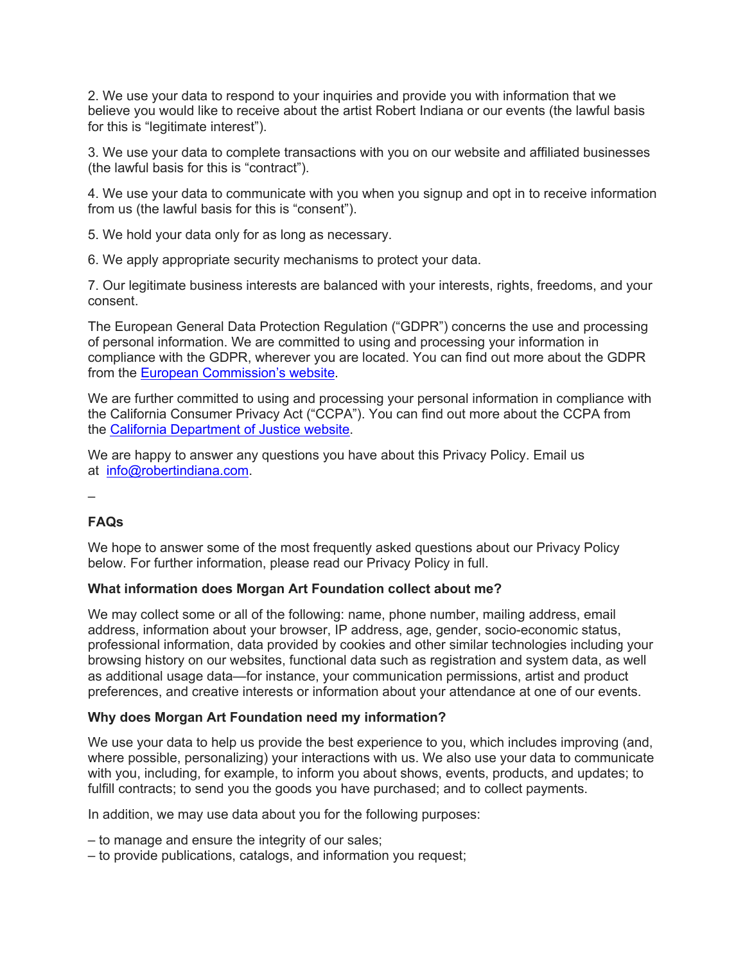2. We use your data to respond to your inquiries and provide you with information that we believe you would like to receive about the artist Robert Indiana or our events (the lawful basis for this is "legitimate interest").

3. We use your data to complete transactions with you on our website and affiliated businesses (the lawful basis for this is "contract").

4. We use your data to communicate with you when you signup and opt in to receive information from us (the lawful basis for this is "consent").

5. We hold your data only for as long as necessary.

6. We apply appropriate security mechanisms to protect your data.

7. Our legitimate business interests are balanced with your interests, rights, freedoms, and your consent.

The European General Data Protection Regulation ("GDPR") concerns the use and processing of personal information. We are committed to using and processing your information in compliance with the GDPR, wherever you are located. You can find out more about the GDPR from the European Commission's website.

We are further committed to using and processing your personal information in compliance with the California Consumer Privacy Act ("CCPA"). You can find out more about the CCPA from the California Department of Justice website.

We are happy to answer any questions you have about this Privacy Policy. Email us at info@robertindiana.com.

–

# **FAQs**

We hope to answer some of the most frequently asked questions about our Privacy Policy below. For further information, please read our Privacy Policy in full.

## **What information does Morgan Art Foundation collect about me?**

We may collect some or all of the following: name, phone number, mailing address, email address, information about your browser, IP address, age, gender, socio-economic status, professional information, data provided by cookies and other similar technologies including your browsing history on our websites, functional data such as registration and system data, as well as additional usage data—for instance, your communication permissions, artist and product preferences, and creative interests or information about your attendance at one of our events.

## **Why does Morgan Art Foundation need my information?**

We use your data to help us provide the best experience to you, which includes improving (and, where possible, personalizing) your interactions with us. We also use your data to communicate with you, including, for example, to inform you about shows, events, products, and updates; to fulfill contracts; to send you the goods you have purchased; and to collect payments.

In addition, we may use data about you for the following purposes:

– to manage and ensure the integrity of our sales;

– to provide publications, catalogs, and information you request;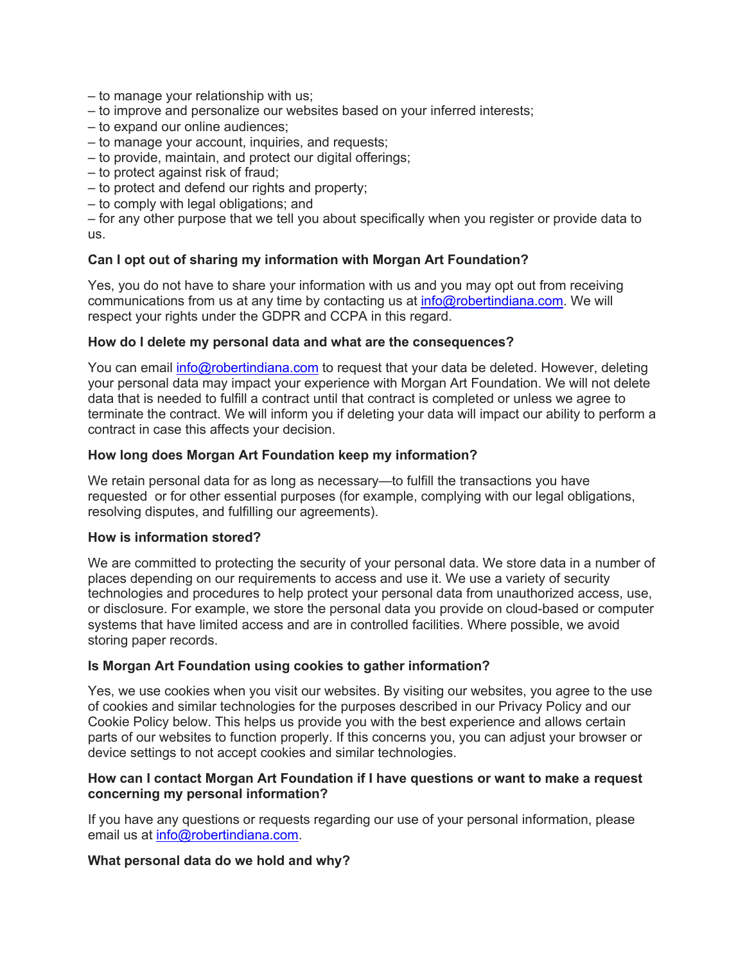- to manage your relationship with us;
- to improve and personalize our websites based on your inferred interests;
- to expand our online audiences;
- to manage your account, inquiries, and requests;
- to provide, maintain, and protect our digital offerings;
- to protect against risk of fraud;
- to protect and defend our rights and property;
- to comply with legal obligations; and

– for any other purpose that we tell you about specifically when you register or provide data to us.

### **Can I opt out of sharing my information with Morgan Art Foundation?**

Yes, you do not have to share your information with us and you may opt out from receiving communications from us at any time by contacting us at info@robertindiana.com. We will respect your rights under the GDPR and CCPA in this regard.

### **How do I delete my personal data and what are the consequences?**

You can email *info@robertindiana.com* to request that your data be deleted. However, deleting your personal data may impact your experience with Morgan Art Foundation. We will not delete data that is needed to fulfill a contract until that contract is completed or unless we agree to terminate the contract. We will inform you if deleting your data will impact our ability to perform a contract in case this affects your decision.

### **How long does Morgan Art Foundation keep my information?**

We retain personal data for as long as necessary—to fulfill the transactions you have requested or for other essential purposes (for example, complying with our legal obligations, resolving disputes, and fulfilling our agreements).

#### **How is information stored?**

We are committed to protecting the security of your personal data. We store data in a number of places depending on our requirements to access and use it. We use a variety of security technologies and procedures to help protect your personal data from unauthorized access, use, or disclosure. For example, we store the personal data you provide on cloud-based or computer systems that have limited access and are in controlled facilities. Where possible, we avoid storing paper records.

## **Is Morgan Art Foundation using cookies to gather information?**

Yes, we use cookies when you visit our websites. By visiting our websites, you agree to the use of cookies and similar technologies for the purposes described in our Privacy Policy and our Cookie Policy below. This helps us provide you with the best experience and allows certain parts of our websites to function properly. If this concerns you, you can adjust your browser or device settings to not accept cookies and similar technologies.

### **How can I contact Morgan Art Foundation if I have questions or want to make a request concerning my personal information?**

If you have any questions or requests regarding our use of your personal information, please email us at info@robertindiana.com.

## **What personal data do we hold and why?**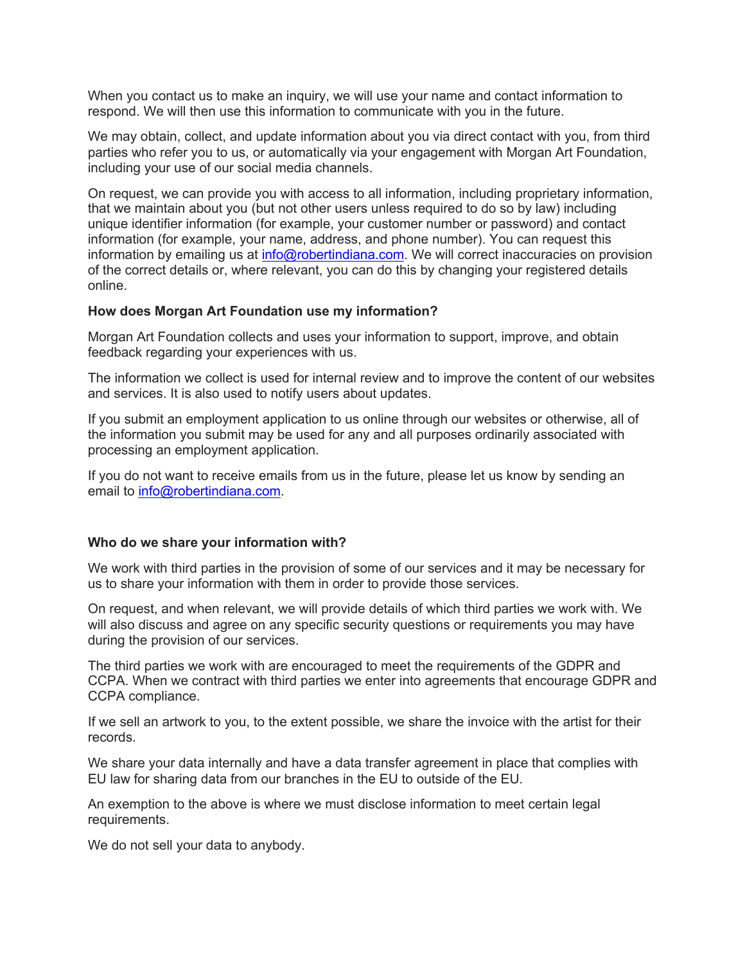When you contact us to make an inquiry, we will use your name and contact information to respond. We will then use this information to communicate with you in the future.

We may obtain, collect, and update information about you via direct contact with you, from third parties who refer you to us, or automatically via your engagement with Morgan Art Foundation, including your use of our social media channels.

On request, we can provide you with access to all information, including proprietary information, that we maintain about you (but not other users unless required to do so by law) including unique identifier information (for example, your customer number or password) and contact information (for example, your name, address, and phone number). You can request this information by emailing us at info@robertindiana.com. We will correct inaccuracies on provision of the correct details or, where relevant, you can do this by changing your registered details online.

#### **How does Morgan Art Foundation use my information?**

Morgan Art Foundation collects and uses your information to support, improve, and obtain feedback regarding your experiences with us.

The information we collect is used for internal review and to improve the content of our websites and services. It is also used to notify users about updates.

If you submit an employment application to us online through our websites or otherwise, all of the information you submit may be used for any and all purposes ordinarily associated with processing an employment application.

If you do not want to receive emails from us in the future, please let us know by sending an email to info@robertindiana.com.

#### **Who do we share your information with?**

We work with third parties in the provision of some of our services and it may be necessary for us to share your information with them in order to provide those services.

On request, and when relevant, we will provide details of which third parties we work with. We will also discuss and agree on any specific security questions or requirements you may have during the provision of our services.

The third parties we work with are encouraged to meet the requirements of the GDPR and CCPA. When we contract with third parties we enter into agreements that encourage GDPR and CCPA compliance.

If we sell an artwork to you, to the extent possible, we share the invoice with the artist for their records.

We share your data internally and have a data transfer agreement in place that complies with EU law for sharing data from our branches in the EU to outside of the EU.

An exemption to the above is where we must disclose information to meet certain legal requirements.

We do not sell your data to anybody.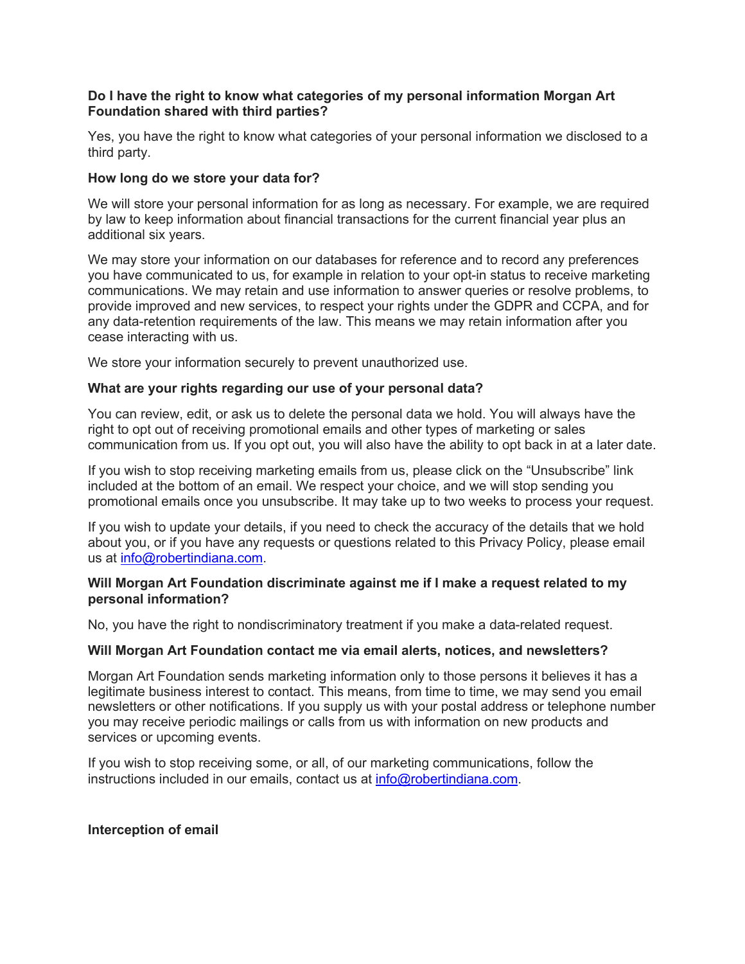### **Do I have the right to know what categories of my personal information Morgan Art Foundation shared with third parties?**

Yes, you have the right to know what categories of your personal information we disclosed to a third party.

## **How long do we store your data for?**

We will store your personal information for as long as necessary. For example, we are required by law to keep information about financial transactions for the current financial year plus an additional six years.

We may store your information on our databases for reference and to record any preferences you have communicated to us, for example in relation to your opt-in status to receive marketing communications. We may retain and use information to answer queries or resolve problems, to provide improved and new services, to respect your rights under the GDPR and CCPA, and for any data-retention requirements of the law. This means we may retain information after you cease interacting with us.

We store your information securely to prevent unauthorized use.

### **What are your rights regarding our use of your personal data?**

You can review, edit, or ask us to delete the personal data we hold. You will always have the right to opt out of receiving promotional emails and other types of marketing or sales communication from us. If you opt out, you will also have the ability to opt back in at a later date.

If you wish to stop receiving marketing emails from us, please click on the "Unsubscribe" link included at the bottom of an email. We respect your choice, and we will stop sending you promotional emails once you unsubscribe. It may take up to two weeks to process your request.

If you wish to update your details, if you need to check the accuracy of the details that we hold about you, or if you have any requests or questions related to this Privacy Policy, please email us at info@robertindiana.com.

### **Will Morgan Art Foundation discriminate against me if I make a request related to my personal information?**

No, you have the right to nondiscriminatory treatment if you make a data-related request.

## **Will Morgan Art Foundation contact me via email alerts, notices, and newsletters?**

Morgan Art Foundation sends marketing information only to those persons it believes it has a legitimate business interest to contact. This means, from time to time, we may send you email newsletters or other notifications. If you supply us with your postal address or telephone number you may receive periodic mailings or calls from us with information on new products and services or upcoming events.

If you wish to stop receiving some, or all, of our marketing communications, follow the instructions included in our emails, contact us at info@robertindiana.com.

#### **Interception of email**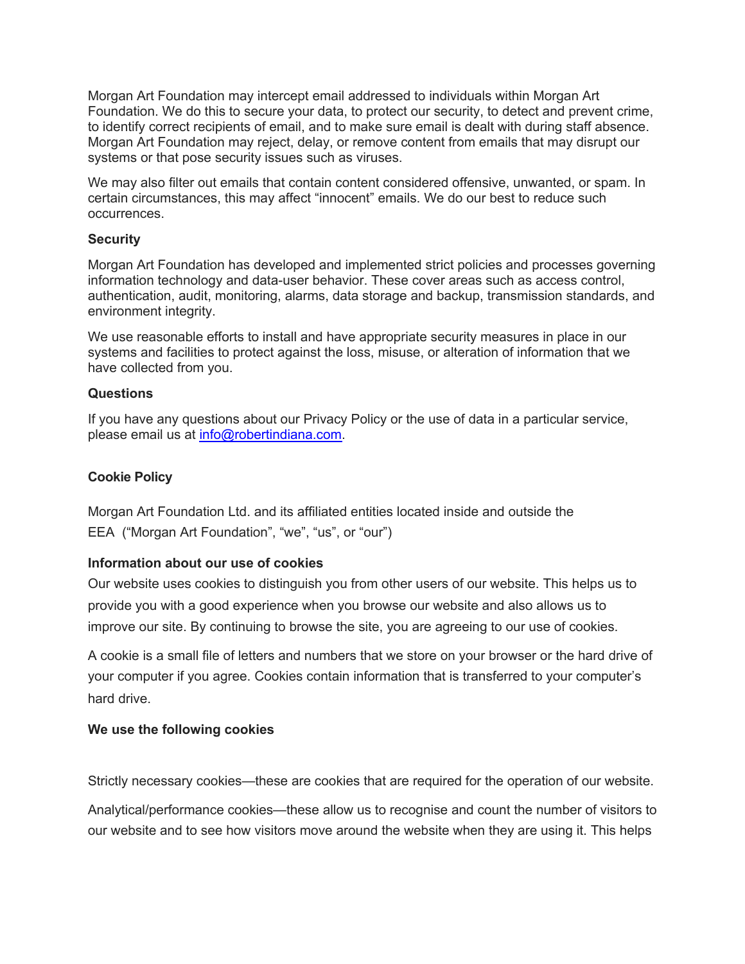Morgan Art Foundation may intercept email addressed to individuals within Morgan Art Foundation. We do this to secure your data, to protect our security, to detect and prevent crime, to identify correct recipients of email, and to make sure email is dealt with during staff absence. Morgan Art Foundation may reject, delay, or remove content from emails that may disrupt our systems or that pose security issues such as viruses.

We may also filter out emails that contain content considered offensive, unwanted, or spam. In certain circumstances, this may affect "innocent" emails. We do our best to reduce such occurrences.

### **Security**

Morgan Art Foundation has developed and implemented strict policies and processes governing information technology and data-user behavior. These cover areas such as access control, authentication, audit, monitoring, alarms, data storage and backup, transmission standards, and environment integrity.

We use reasonable efforts to install and have appropriate security measures in place in our systems and facilities to protect against the loss, misuse, or alteration of information that we have collected from you.

### **Questions**

If you have any questions about our Privacy Policy or the use of data in a particular service, please email us at info@robertindiana.com.

## **Cookie Policy**

Morgan Art Foundation Ltd. and its affiliated entities located inside and outside the EEA ("Morgan Art Foundation", "we", "us", or "our")

## **Information about our use of cookies**

Our website uses cookies to distinguish you from other users of our website. This helps us to provide you with a good experience when you browse our website and also allows us to improve our site. By continuing to browse the site, you are agreeing to our use of cookies.

A cookie is a small file of letters and numbers that we store on your browser or the hard drive of your computer if you agree. Cookies contain information that is transferred to your computer's hard drive.

#### **We use the following cookies**

Strictly necessary cookies—these are cookies that are required for the operation of our website.

Analytical/performance cookies—these allow us to recognise and count the number of visitors to our website and to see how visitors move around the website when they are using it. This helps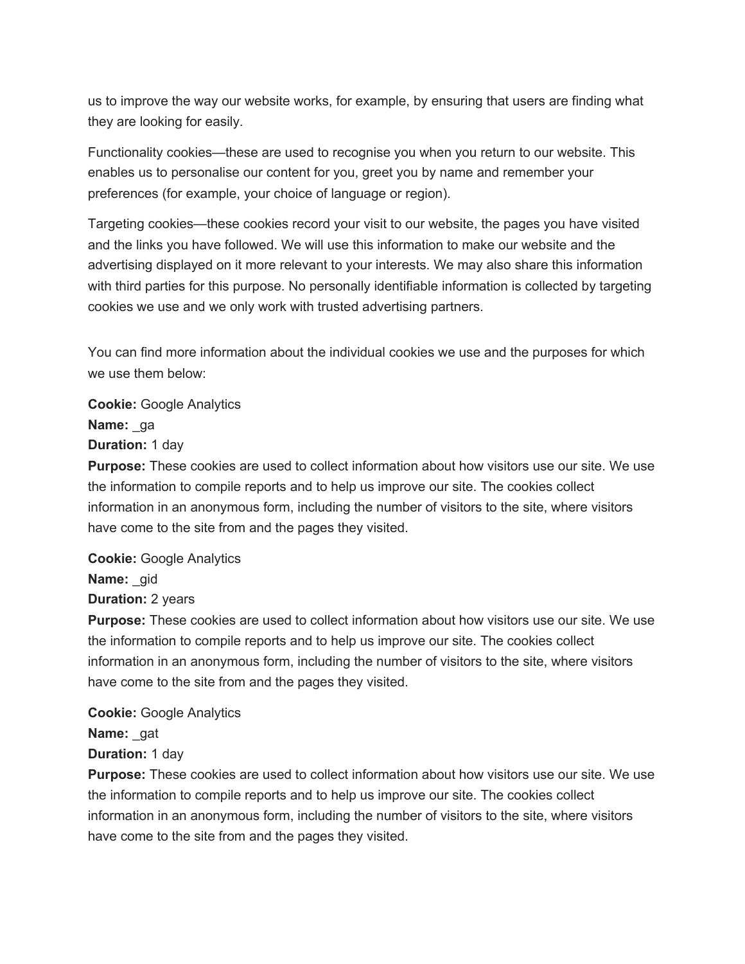us to improve the way our website works, for example, by ensuring that users are finding what they are looking for easily.

Functionality cookies—these are used to recognise you when you return to our website. This enables us to personalise our content for you, greet you by name and remember your preferences (for example, your choice of language or region).

Targeting cookies—these cookies record your visit to our website, the pages you have visited and the links you have followed. We will use this information to make our website and the advertising displayed on it more relevant to your interests. We may also share this information with third parties for this purpose. No personally identifiable information is collected by targeting cookies we use and we only work with trusted advertising partners.

You can find more information about the individual cookies we use and the purposes for which we use them below:

**Cookie:** Google Analytics **Name:** ga **Duration:** 1 day

**Purpose:** These cookies are used to collect information about how visitors use our site. We use the information to compile reports and to help us improve our site. The cookies collect information in an anonymous form, including the number of visitors to the site, where visitors have come to the site from and the pages they visited.

**Cookie:** Google Analytics **Name:** gid

**Duration:** 2 years

**Purpose:** These cookies are used to collect information about how visitors use our site. We use the information to compile reports and to help us improve our site. The cookies collect information in an anonymous form, including the number of visitors to the site, where visitors have come to the site from and the pages they visited.

**Cookie:** Google Analytics

**Name:** gat

**Duration:** 1 day

**Purpose:** These cookies are used to collect information about how visitors use our site. We use the information to compile reports and to help us improve our site. The cookies collect information in an anonymous form, including the number of visitors to the site, where visitors have come to the site from and the pages they visited.